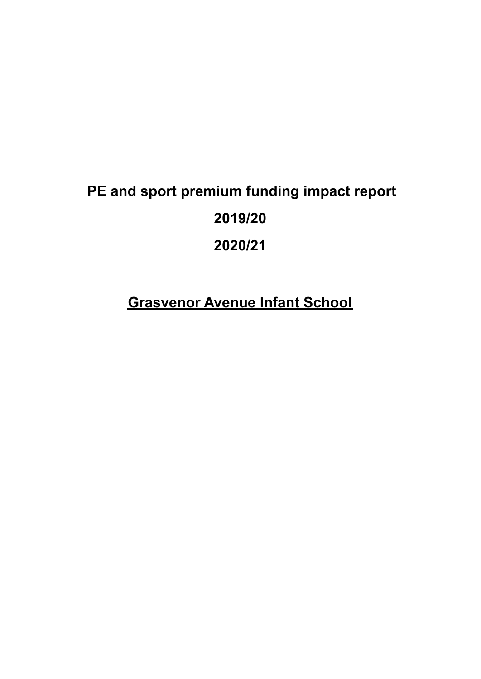# **PE and sport premium funding impact report 2019/20 2020/21**

**Grasvenor Avenue Infant School**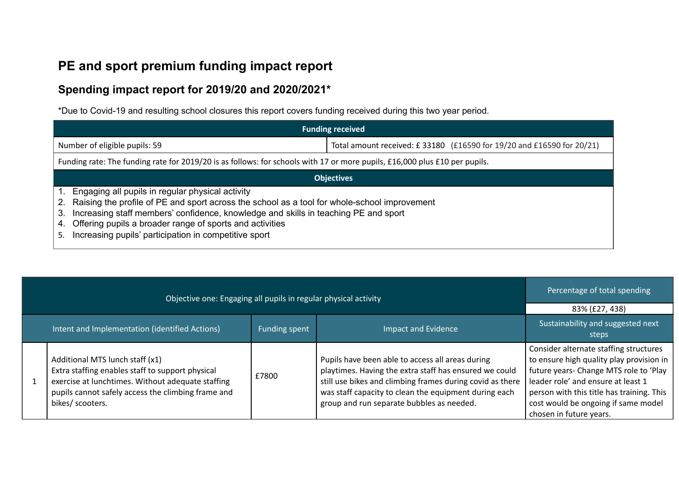## **PE and sport premium funding impact report**

### **Spending impact report for 2019/20 and 2020/2021\***

\*Due to Covid-19 and resulting school closures this report covers funding received during this two year period.

| <b>Funding received</b>                                                                                                                                                                                                                                                                                                                                                              |                                                                       |  |  |
|--------------------------------------------------------------------------------------------------------------------------------------------------------------------------------------------------------------------------------------------------------------------------------------------------------------------------------------------------------------------------------------|-----------------------------------------------------------------------|--|--|
| Number of eligible pupils: 59                                                                                                                                                                                                                                                                                                                                                        | Total amount received: £33180 (£16590 for 19/20 and £16590 for 20/21) |  |  |
| Funding rate: The funding rate for 2019/20 is as follows: for schools with 17 or more pupils, £16,000 plus £10 per pupils.                                                                                                                                                                                                                                                           |                                                                       |  |  |
| <b>Objectives</b>                                                                                                                                                                                                                                                                                                                                                                    |                                                                       |  |  |
| Engaging all pupils in regular physical activity<br>Raising the profile of PE and sport across the school as a tool for whole-school improvement<br>2.<br>Increasing staff members' confidence, knowledge and skills in teaching PE and sport<br>3.<br>Offering pupils a broader range of sports and activities<br>4.<br>Increasing pupils' participation in competitive sport<br>5. |                                                                       |  |  |

| Objective one: Engaging all pupils in regular physical activity |                                                                                                                                                                                                                    |                            |                                                                                                                                                                                                                                                                               | Percentage of total spending                                                                                                                                                                                                                                                      |
|-----------------------------------------------------------------|--------------------------------------------------------------------------------------------------------------------------------------------------------------------------------------------------------------------|----------------------------|-------------------------------------------------------------------------------------------------------------------------------------------------------------------------------------------------------------------------------------------------------------------------------|-----------------------------------------------------------------------------------------------------------------------------------------------------------------------------------------------------------------------------------------------------------------------------------|
|                                                                 |                                                                                                                                                                                                                    |                            |                                                                                                                                                                                                                                                                               | 83% (£27, 438)                                                                                                                                                                                                                                                                    |
| Intent and Implementation (identified Actions)<br>Funding spent |                                                                                                                                                                                                                    | <b>Impact and Evidence</b> | Sustainability and suggested next<br>steps                                                                                                                                                                                                                                    |                                                                                                                                                                                                                                                                                   |
|                                                                 | Additional MTS lunch staff (x1)<br>Extra staffing enables staff to support physical<br>exercise at lunchtimes. Without adequate staffing<br>pupils cannot safely access the climbing frame and<br>bikes/ scooters. | £7800                      | Pupils have been able to access all areas during<br>playtimes. Having the extra staff has ensured we could<br>still use bikes and climbing frames during covid as there<br>was staff capacity to clean the equipment during each<br>group and run separate bubbles as needed. | Consider alternate staffing structures<br>to ensure high quality play provision in<br>future years- Change MTS role to 'Play<br>leader role' and ensure at least 1<br>person with this title has training. This<br>cost would be ongoing if same model<br>chosen in future years. |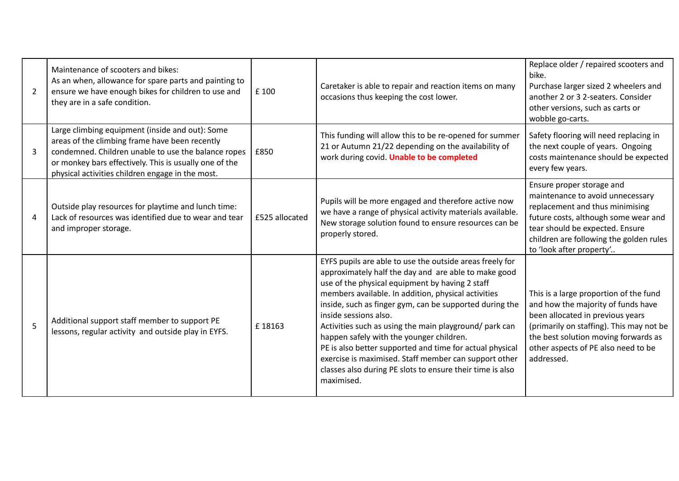| 2              | Maintenance of scooters and bikes:<br>As an when, allowance for spare parts and painting to<br>ensure we have enough bikes for children to use and<br>they are in a safe condition.                                                                                    | £ 100          | Caretaker is able to repair and reaction items on many<br>occasions thus keeping the cost lower.                                                                                                                                                                                                                                                                                                                                                                                                                                                                                                                     | Replace older / repaired scooters and<br>bike.<br>Purchase larger sized 2 wheelers and<br>another 2 or 3 2-seaters. Consider<br>other versions, such as carts or<br>wobble go-carts.                                                                      |
|----------------|------------------------------------------------------------------------------------------------------------------------------------------------------------------------------------------------------------------------------------------------------------------------|----------------|----------------------------------------------------------------------------------------------------------------------------------------------------------------------------------------------------------------------------------------------------------------------------------------------------------------------------------------------------------------------------------------------------------------------------------------------------------------------------------------------------------------------------------------------------------------------------------------------------------------------|-----------------------------------------------------------------------------------------------------------------------------------------------------------------------------------------------------------------------------------------------------------|
| 3              | Large climbing equipment (inside and out): Some<br>areas of the climbing frame have been recently<br>condemned. Children unable to use the balance ropes<br>or monkey bars effectively. This is usually one of the<br>physical activities children engage in the most. | £850           | This funding will allow this to be re-opened for summer<br>21 or Autumn 21/22 depending on the availability of<br>work during covid. Unable to be completed                                                                                                                                                                                                                                                                                                                                                                                                                                                          | Safety flooring will need replacing in<br>the next couple of years. Ongoing<br>costs maintenance should be expected<br>every few years.                                                                                                                   |
| $\overline{a}$ | Outside play resources for playtime and lunch time:<br>Lack of resources was identified due to wear and tear<br>and improper storage.                                                                                                                                  | £525 allocated | Pupils will be more engaged and therefore active now<br>we have a range of physical activity materials available.<br>New storage solution found to ensure resources can be<br>properly stored.                                                                                                                                                                                                                                                                                                                                                                                                                       | Ensure proper storage and<br>maintenance to avoid unnecessary<br>replacement and thus minimising<br>future costs, although some wear and<br>tear should be expected. Ensure<br>children are following the golden rules<br>to 'look after property'        |
| 5              | Additional support staff member to support PE<br>lessons, regular activity and outside play in EYFS.                                                                                                                                                                   | £18163         | EYFS pupils are able to use the outside areas freely for<br>approximately half the day and are able to make good<br>use of the physical equipment by having 2 staff<br>members available. In addition, physical activities<br>inside, such as finger gym, can be supported during the<br>inside sessions also.<br>Activities such as using the main playground/ park can<br>happen safely with the younger children.<br>PE is also better supported and time for actual physical<br>exercise is maximised. Staff member can support other<br>classes also during PE slots to ensure their time is also<br>maximised. | This is a large proportion of the fund<br>and how the majority of funds have<br>been allocated in previous years<br>(primarily on staffing). This may not be<br>the best solution moving forwards as<br>other aspects of PE also need to be<br>addressed. |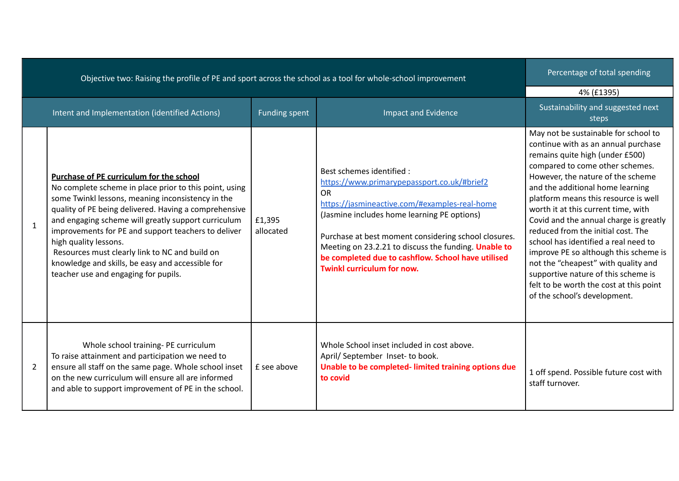| oppeare and, naising are prome or it cand sport across are scribbit as a tool for milote scribbi improvement. |                                                                                                                                                                                                                                                                                                                                                                                                                                                                                                       |                      |                                                                                                                                                                                                                                                                                                                                                                                           | 4% (£1395)                                                                                                                                                                                                                                                                                                                                                                                                                                                                                                                                                                                                                          |
|---------------------------------------------------------------------------------------------------------------|-------------------------------------------------------------------------------------------------------------------------------------------------------------------------------------------------------------------------------------------------------------------------------------------------------------------------------------------------------------------------------------------------------------------------------------------------------------------------------------------------------|----------------------|-------------------------------------------------------------------------------------------------------------------------------------------------------------------------------------------------------------------------------------------------------------------------------------------------------------------------------------------------------------------------------------------|-------------------------------------------------------------------------------------------------------------------------------------------------------------------------------------------------------------------------------------------------------------------------------------------------------------------------------------------------------------------------------------------------------------------------------------------------------------------------------------------------------------------------------------------------------------------------------------------------------------------------------------|
|                                                                                                               | Intent and Implementation (identified Actions)                                                                                                                                                                                                                                                                                                                                                                                                                                                        | <b>Funding spent</b> | <b>Impact and Evidence</b>                                                                                                                                                                                                                                                                                                                                                                | Sustainability and suggested next<br><b>steps</b>                                                                                                                                                                                                                                                                                                                                                                                                                                                                                                                                                                                   |
| $\mathbf{1}$                                                                                                  | Purchase of PE curriculum for the school<br>No complete scheme in place prior to this point, using<br>some Twinkl lessons, meaning inconsistency in the<br>quality of PE being delivered. Having a comprehensive<br>and engaging scheme will greatly support curriculum<br>improvements for PE and support teachers to deliver<br>high quality lessons.<br>Resources must clearly link to NC and build on<br>knowledge and skills, be easy and accessible for<br>teacher use and engaging for pupils. | £1,395<br>allocated  | Best schemes identified :<br>https://www.primarypepassport.co.uk/#brief2<br>OR<br>https://jasmineactive.com/#examples-real-home<br>(Jasmine includes home learning PE options)<br>Purchase at best moment considering school closures.<br>Meeting on 23.2.21 to discuss the funding. Unable to<br>be completed due to cashflow. School have utilised<br><b>Twinkl curriculum for now.</b> | May not be sustainable for school to<br>continue with as an annual purchase<br>remains quite high (under £500)<br>compared to come other schemes.<br>However, the nature of the scheme<br>and the additional home learning<br>platform means this resource is well<br>worth it at this current time, with<br>Covid and the annual charge is greatly<br>reduced from the initial cost. The<br>school has identified a real need to<br>improve PE so although this scheme is<br>not the "cheapest" with quality and<br>supportive nature of this scheme is<br>felt to be worth the cost at this point<br>of the school's development. |
| $\overline{2}$                                                                                                | Whole school training- PE curriculum<br>To raise attainment and participation we need to<br>ensure all staff on the same page. Whole school inset<br>on the new curriculum will ensure all are informed<br>and able to support improvement of PE in the school.                                                                                                                                                                                                                                       | £ see above          | Whole School inset included in cost above.<br>April/ September Inset- to book.<br>Unable to be completed-limited training options due<br>to covid                                                                                                                                                                                                                                         | 1 off spend. Possible future cost with<br>staff turnover.                                                                                                                                                                                                                                                                                                                                                                                                                                                                                                                                                                           |

Objective two: Raising the profile of PE and sport across the school as a tool for whole-school improvement

#### Percentage of total spending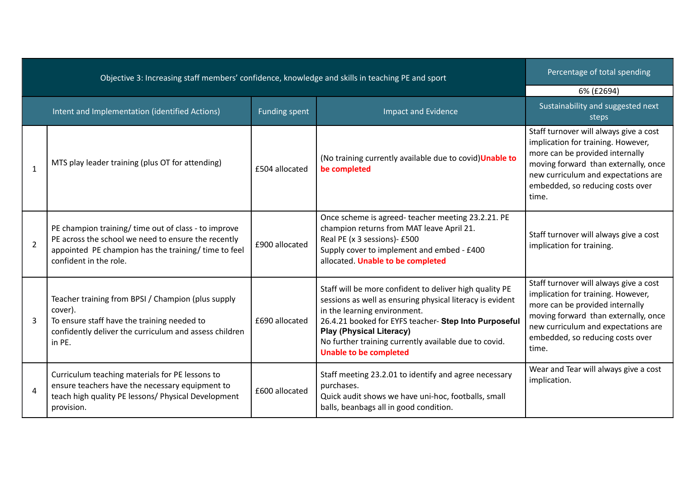| Objective 3: Increasing staff members' confidence, knowledge and skills in teaching PE and sport |                                                                                                                                                                                               |                | Percentage of total spending                                                                                                                                                                                                                                                                                                               |                                                                                                                                                                                                                                             |
|--------------------------------------------------------------------------------------------------|-----------------------------------------------------------------------------------------------------------------------------------------------------------------------------------------------|----------------|--------------------------------------------------------------------------------------------------------------------------------------------------------------------------------------------------------------------------------------------------------------------------------------------------------------------------------------------|---------------------------------------------------------------------------------------------------------------------------------------------------------------------------------------------------------------------------------------------|
|                                                                                                  |                                                                                                                                                                                               |                |                                                                                                                                                                                                                                                                                                                                            | 6% (£2694)                                                                                                                                                                                                                                  |
|                                                                                                  | Intent and Implementation (identified Actions)                                                                                                                                                | Funding spent  | <b>Impact and Evidence</b>                                                                                                                                                                                                                                                                                                                 | Sustainability and suggested next<br>steps                                                                                                                                                                                                  |
| $\mathbf{1}$                                                                                     | MTS play leader training (plus OT for attending)                                                                                                                                              | £504 allocated | (No training currently available due to covid) Unable to<br>be completed                                                                                                                                                                                                                                                                   | Staff turnover will always give a cost<br>implication for training. However,<br>more can be provided internally<br>moving forward than externally, once<br>new curriculum and expectations are<br>embedded, so reducing costs over<br>time. |
| $\overline{2}$                                                                                   | PE champion training/ time out of class - to improve<br>PE across the school we need to ensure the recently<br>appointed PE champion has the training/ time to feel<br>confident in the role. | £900 allocated | Once scheme is agreed-teacher meeting 23.2.21. PE<br>champion returns from MAT leave April 21.<br>Real PE (x 3 sessions)- £500<br>Supply cover to implement and embed - £400<br>allocated. Unable to be completed                                                                                                                          | Staff turnover will always give a cost<br>implication for training.                                                                                                                                                                         |
| 3                                                                                                | Teacher training from BPSI / Champion (plus supply<br>cover).<br>To ensure staff have the training needed to<br>confidently deliver the curriculum and assess children<br>in PE.              | £690 allocated | Staff will be more confident to deliver high quality PE<br>sessions as well as ensuring physical literacy is evident<br>in the learning environment.<br>26.4.21 booked for EYFS teacher- Step Into Purposeful<br><b>Play (Physical Literacy)</b><br>No further training currently available due to covid.<br><b>Unable to be completed</b> | Staff turnover will always give a cost<br>implication for training. However,<br>more can be provided internally<br>moving forward than externally, once<br>new curriculum and expectations are<br>embedded, so reducing costs over<br>time. |
| $\boldsymbol{\Lambda}$                                                                           | Curriculum teaching materials for PE lessons to<br>ensure teachers have the necessary equipment to<br>teach high quality PE lessons/ Physical Development<br>provision.                       | £600 allocated | Staff meeting 23.2.01 to identify and agree necessary<br>purchases.<br>Quick audit shows we have uni-hoc, footballs, small<br>balls, beanbags all in good condition.                                                                                                                                                                       | Wear and Tear will always give a cost<br>implication.                                                                                                                                                                                       |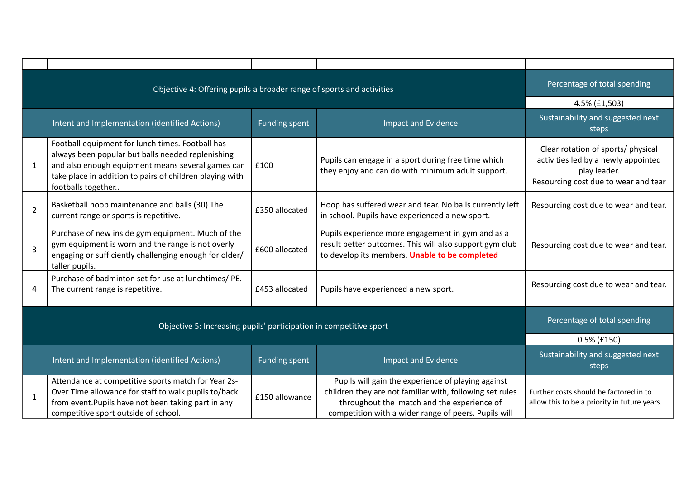|                                                                    | Objective 4: Offering pupils a broader range of sports and activities                                                                                                                                                                        |                      |                                                                                                                                                                                                                      | Percentage of total spending                                                                                                      |
|--------------------------------------------------------------------|----------------------------------------------------------------------------------------------------------------------------------------------------------------------------------------------------------------------------------------------|----------------------|----------------------------------------------------------------------------------------------------------------------------------------------------------------------------------------------------------------------|-----------------------------------------------------------------------------------------------------------------------------------|
|                                                                    |                                                                                                                                                                                                                                              |                      |                                                                                                                                                                                                                      | 4.5% (£1,503)                                                                                                                     |
|                                                                    | Intent and Implementation (identified Actions)                                                                                                                                                                                               | <b>Funding spent</b> | <b>Impact and Evidence</b>                                                                                                                                                                                           | Sustainability and suggested next<br>steps                                                                                        |
| 1                                                                  | Football equipment for lunch times. Football has<br>always been popular but balls needed replenishing<br>and also enough equipment means several games can<br>take place in addition to pairs of children playing with<br>footballs together | £100                 | Pupils can engage in a sport during free time which<br>they enjoy and can do with minimum adult support.                                                                                                             | Clear rotation of sports/ physical<br>activities led by a newly appointed<br>play leader.<br>Resourcing cost due to wear and tear |
| $\overline{2}$                                                     | Basketball hoop maintenance and balls (30) The<br>current range or sports is repetitive.                                                                                                                                                     | £350 allocated       | Hoop has suffered wear and tear. No balls currently left<br>in school. Pupils have experienced a new sport.                                                                                                          | Resourcing cost due to wear and tear.                                                                                             |
| $\overline{3}$                                                     | Purchase of new inside gym equipment. Much of the<br>gym equipment is worn and the range is not overly<br>engaging or sufficiently challenging enough for older/<br>taller pupils.                                                           | £600 allocated       | Pupils experience more engagement in gym and as a<br>result better outcomes. This will also support gym club<br>to develop its members. Unable to be completed                                                       | Resourcing cost due to wear and tear.                                                                                             |
| 4                                                                  | Purchase of badminton set for use at lunchtimes/ PE.<br>The current range is repetitive.                                                                                                                                                     | £453 allocated       | Pupils have experienced a new sport.                                                                                                                                                                                 | Resourcing cost due to wear and tear.                                                                                             |
| Objective 5: Increasing pupils' participation in competitive sport |                                                                                                                                                                                                                                              |                      | Percentage of total spending                                                                                                                                                                                         |                                                                                                                                   |
|                                                                    |                                                                                                                                                                                                                                              |                      |                                                                                                                                                                                                                      | $0.5\%$ (£150)                                                                                                                    |
|                                                                    | Intent and Implementation (identified Actions)                                                                                                                                                                                               | <b>Funding spent</b> | <b>Impact and Evidence</b>                                                                                                                                                                                           | Sustainability and suggested next<br>steps                                                                                        |
| $\mathbf{1}$                                                       | Attendance at competitive sports match for Year 2s-<br>Over Time allowance for staff to walk pupils to/back<br>from event. Pupils have not been taking part in any<br>competitive sport outside of school.                                   | £150 allowance       | Pupils will gain the experience of playing against<br>children they are not familiar with, following set rules<br>throughout the match and the experience of<br>competition with a wider range of peers. Pupils will | Further costs should be factored in to<br>allow this to be a priority in future years.                                            |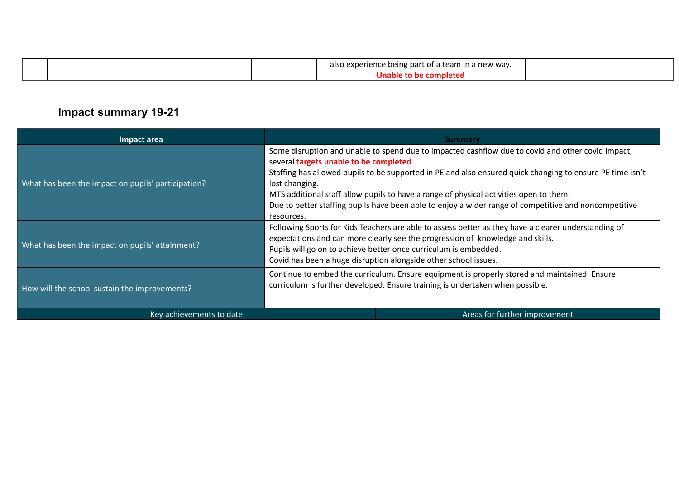|  | also experience being part of a team in a new way. |  |
|--|----------------------------------------------------|--|
|  |                                                    |  |

## **Impact summary 19-21**

| Impact area                                        | <b>Summary</b>                                                                                                                                                                                                                                                                                                                                                                                                                                                                               |                               |  |
|----------------------------------------------------|----------------------------------------------------------------------------------------------------------------------------------------------------------------------------------------------------------------------------------------------------------------------------------------------------------------------------------------------------------------------------------------------------------------------------------------------------------------------------------------------|-------------------------------|--|
| What has been the impact on pupils' participation? | Some disruption and unable to spend due to impacted cashflow due to covid and other covid impact,<br>several targets unable to be completed.<br>Staffing has allowed pupils to be supported in PE and also ensured quick changing to ensure PE time isn't<br>lost changing.<br>MTS additional staff allow pupils to have a range of physical activities open to them.<br>Due to better staffing pupils have been able to enjoy a wider range of competitive and noncompetitive<br>resources. |                               |  |
| What has been the impact on pupils' attainment?    | Following Sports for Kids Teachers are able to assess better as they have a clearer understanding of<br>expectations and can more clearly see the progression of knowledge and skills.<br>Pupils will go on to achieve better once curriculum is embedded.<br>Covid has been a huge disruption alongside other school issues.                                                                                                                                                                |                               |  |
| How will the school sustain the improvements?      | Continue to embed the curriculum. Ensure equipment is properly stored and maintained. Ensure<br>curriculum is further developed. Ensure training is undertaken when possible.                                                                                                                                                                                                                                                                                                                |                               |  |
| Key achievements to date                           |                                                                                                                                                                                                                                                                                                                                                                                                                                                                                              | Areas for further improvement |  |